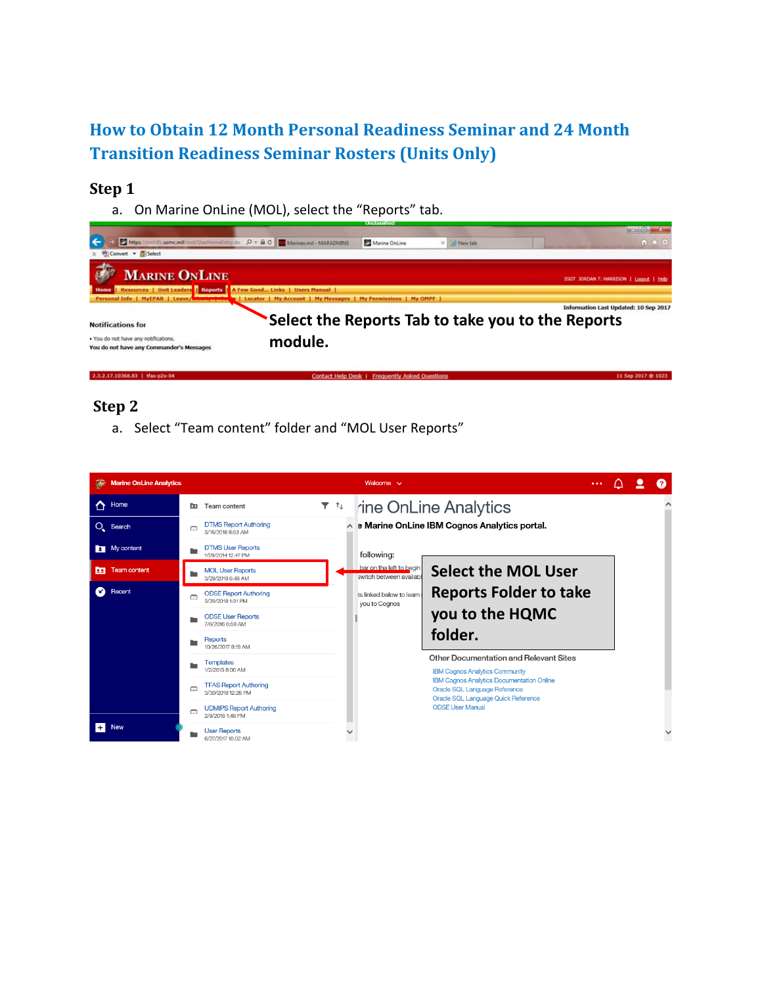# **How to Obtain 12 Month Personal Readiness Seminar and 24 Month Transition Readiness Seminar Rosters (Units Only)**

### **Step 1**

a. On Marine OnLine (MOL), select the "Reports" tab.



# **Step 2**

a. Select "Team content" folder and "MOL User Reports"

|   | <b>Marine OnLine Analytics</b> |                                                                                                                                                   |                                                    |                           |  | Welcome $\sim$                                      |                                                                                 | $\cdots$ |  | Ω |
|---|--------------------------------|---------------------------------------------------------------------------------------------------------------------------------------------------|----------------------------------------------------|---------------------------|--|-----------------------------------------------------|---------------------------------------------------------------------------------|----------|--|---|
| ∧ | Home                           | <b>PB</b>                                                                                                                                         | Team content                                       | $\overline{r}$ $\uparrow$ |  |                                                     | rine OnLine Analytics                                                           |          |  |   |
|   | $O_{\!\star}$ Search           | $\Box$                                                                                                                                            | <b>DTMS Report Authoring</b><br>3/16/2018 8:53 AM  |                           |  |                                                     |                                                                                 |          |  |   |
|   | My content                     |                                                                                                                                                   | <b>DTMS User Reports</b><br>1/29/2014 12:47 PM     |                           |  | following:                                          |                                                                                 |          |  |   |
| 面 | Team content                   |                                                                                                                                                   | <b>MOL User Reports</b><br>3/29/2018 6:48 AM       |                           |  | bar on the left to begin<br>switch between availabl | <b>Select the MOL User</b>                                                      |          |  |   |
| Ω | Recent                         | Ō                                                                                                                                                 | <b>ODSE Report Authoring</b><br>3/29/2018 1:31 PM  |                           |  | ts linked below to learn<br>you to Cognos           | <b>Reports Folder to take</b>                                                   |          |  |   |
|   |                                |                                                                                                                                                   | <b>ODSE User Reports</b><br>7/6/2016 6:59 AM       |                           |  |                                                     | you to the HQMC                                                                 |          |  |   |
|   |                                |                                                                                                                                                   | Reports<br>10/26/2017 8:19 AM                      |                           |  |                                                     | folder.                                                                         |          |  |   |
|   |                                |                                                                                                                                                   | <b>Templates</b><br>1/2/2015 8:00 AM               |                           |  |                                                     | Other Documentation and Relevant Sites<br><b>IBM Cognos Analytics Community</b> |          |  |   |
|   |                                | <b>IBM Cognos Analytics Documentation Online</b><br><b>TFAS Report Authoring</b><br>$\Box$<br>Oracle SQL Language Reference<br>3/30/2018 12:28 PM |                                                    |                           |  |                                                     |                                                                                 |          |  |   |
|   |                                | $\Box$                                                                                                                                            | <b>UDMIPS Report Authoring</b><br>2/8/2018 1:48 PM |                           |  |                                                     | Oracle SQL Language Quick Reference<br><b>ODSE User Manual</b>                  |          |  |   |
|   | <b>New</b>                     |                                                                                                                                                   | <b>User Reports</b><br>6/27/2017 10:02 AM          |                           |  |                                                     |                                                                                 |          |  |   |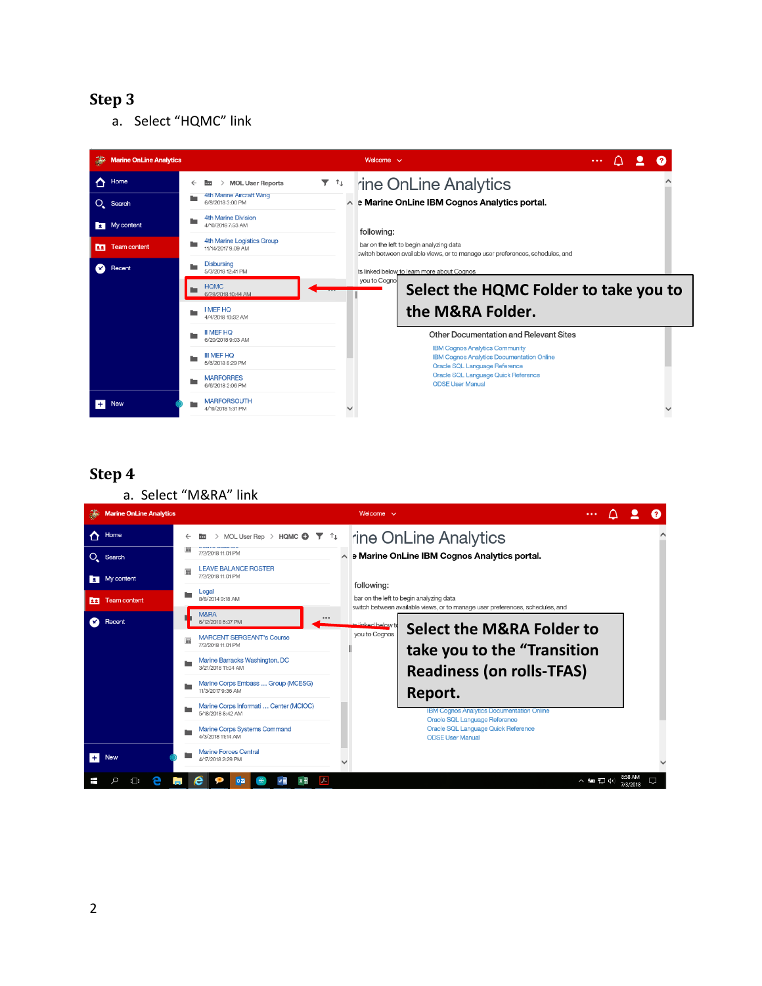a. Select "HQMC" link



# **Step 4**

a. Select "M&RA" link

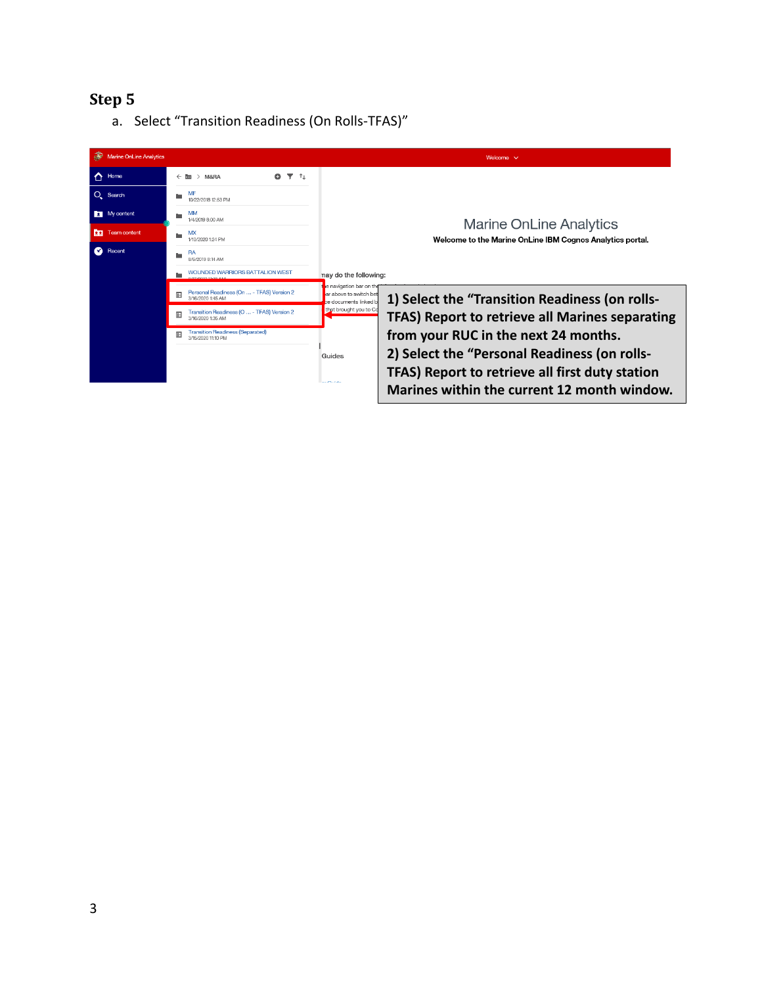a. Select "Transition Readiness (On Rolls-TFAS)"

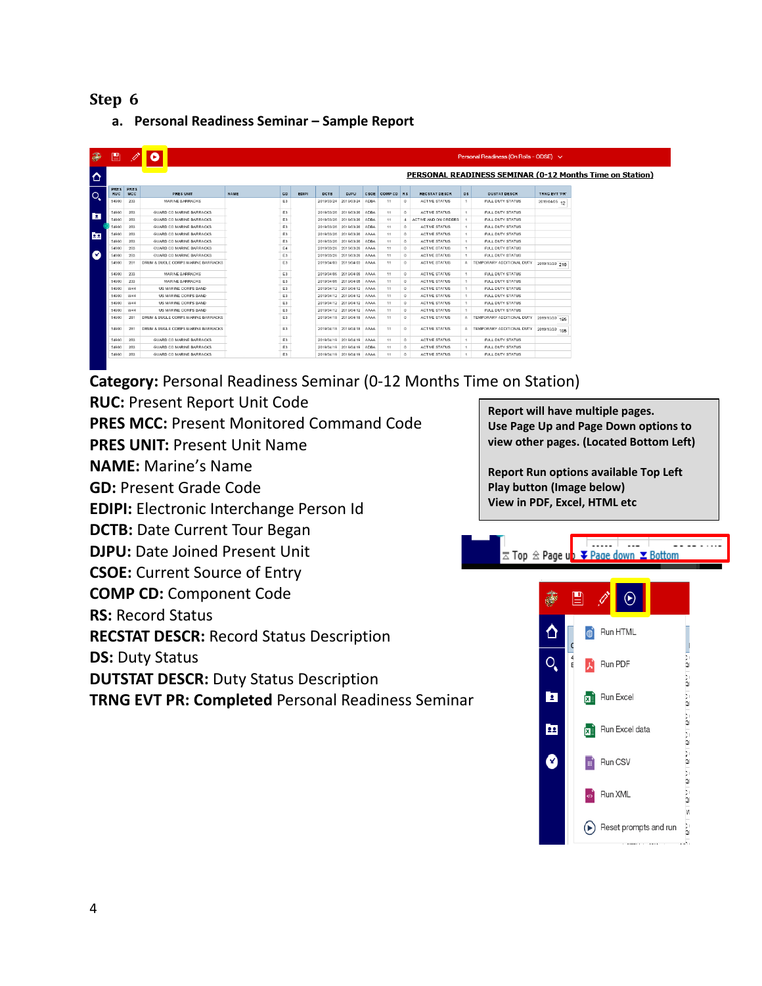**a. Personal Readiness Seminar – Sample Report**

| 美              | 圕                  | Ø                  | e                                  |             |                |       |            |                            |             |            |                |                      |                | Personal Readiness (On Rolls - ODSE) $\vee$              |                |
|----------------|--------------------|--------------------|------------------------------------|-------------|----------------|-------|------------|----------------------------|-------------|------------|----------------|----------------------|----------------|----------------------------------------------------------|----------------|
| ♦              |                    |                    |                                    |             |                |       |            |                            |             |            |                |                      |                | PERSONAL READINESS SEMINAR (0-12 Months Time on Station) |                |
| $\overline{O}$ | PRES<br><b>RUC</b> | PRES<br><b>MCC</b> | PRES UNIT                          | <b>NAME</b> | GD             | EDIPI | DCTB       | <b>DJPU</b>                | CSOE        | COMP CD RS |                | <b>RECSTAT DESCR</b> | D <sub>S</sub> | <b>DUSTAT DESCR</b>                                      | TRNG EVT 'PR'  |
|                | 54900              | 233                | <b>MARINE BARRACKS</b>             |             | E <sub>3</sub> |       | 2019/03/24 | 2019/03/24                 | <b>ADBA</b> | 11         | $^{\circ}$     | <b>ACTIVE STATUS</b> | $\mathbf{1}$   | <b>FULL DUTY STATUS</b>                                  | 2019/04/05 12  |
|                | 54900              | 283                | GUARD CO MARINE BARRACKS           |             | E3             |       |            | 2019/03/26 2019/03/26      | <b>ADBA</b> | 11         | $^{\circ}$     | <b>ACTIVE STATUS</b> | $\mathbf{1}$   | <b>FULL DUTY STATUS</b>                                  |                |
| E              | 54900              | 283                | GUARD CO MARINE BARRACKS           |             | E <sub>3</sub> |       |            | 2019/03/26 2019/03/26      | ADBA        | 11         | $\overline{4}$ | ACTIVE AND ON ORDERS | 1              | FULL DUTY STATUS                                         |                |
|                | 54900              | 283                | GUARD CO MARINE BARRACKS           |             | E <sub>3</sub> |       | 2019/03/26 | 2019/03/26                 | ADBA        | 11         | $\circ$        | <b>ACTIVE STATUS</b> | $\mathbf{1}$   | <b>FULL DUTY STATUS</b>                                  |                |
| <b>Page</b>    | 54900              | 283                | GUARD CO MARINE BARRACKS           |             | E <sub>3</sub> |       |            | 2019/03/26 2019/03/26      | <b>AAAA</b> | 11         | $^{\circ}$     | <b>ACTIVE STATUS</b> | 1              | FULL DUTY STATUS                                         |                |
|                | 54900              | 283                | GUARD CO MARINE BARRACKS           |             | E <sub>3</sub> |       |            | 2019/03/26 2019/03/26      | <b>ADBA</b> | 11         | $^{\circ}$     | <b>ACTIVE STATUS</b> | $\mathbf{1}$   | <b>FULL DUTY STATUS</b>                                  |                |
|                | 54900              | 283                | <b>GUARD CO MARINE BARRACKS</b>    |             | E4             |       |            | 2019/03/26 2019/03/26      | AAAA        | 11         | $^{\circ}$     | <b>ACTIVE STATUS</b> | $\mathbf{1}$   | <b>FULL DUTY STATUS</b>                                  |                |
| ◙              | 54900              | 283                | GUARD CO MARINE BARRACKS           |             | E3             |       |            | 2019/03/26 2019/03/26      | AAAA        | 11         | $\circ$        | <b>ACTIVE STATUS</b> | $\mathbf{1}$   | <b>FULL DUTY STATUS</b>                                  |                |
|                | 54900              | 28'                | DRUM & BUGLE CORPS MARINE BARRACKS |             | E <sub>3</sub> |       |            | 2019/04/03 2019/04/03      | AAAA        | 11         | $^{\circ}$     | <b>ACTIVE STATUS</b> | A              | TEMPORARY ADDITIONAL DUTY                                | 2019/10/30 210 |
|                | 54900              | 233                | <b>MARINE BARRACKS</b>             |             | E <sub>3</sub> |       |            | 2019/04/05 2019/04/05 AAAA |             | 11         | $^{\circ}$     | <b>ACTIVE STATUS</b> | $\mathbf{1}$   | <b>FULL DUTY STATUS</b>                                  |                |
|                | 54900              | 233                | MARINE BARRACKS                    |             | E <sub>3</sub> |       |            | 2019/04/05 2019/04/05 AAAA |             | 11         | $^{\circ}$     | <b>ACTIVE STATUS</b> | 1              | FULL DUTY STATUS                                         |                |
|                | 54900              | W44                | <b>US MARINE CORPS BAND</b>        |             | E <sub>3</sub> |       |            | 2019/04/12 2019/04/12 AAAA |             | 11         | $^{\circ}$     | <b>ACTIVE STATUS</b> | $\mathbf{1}$   | <b>FULL DUTY STATUS</b>                                  |                |
|                | 54900              | W44                | US MARINE CORPS BAND               |             | E <sub>3</sub> |       |            | 2019/04/12 2019/04/12 AAAA |             | 11         | $^{\circ}$     | <b>ACTIVE STATUS</b> | 1              | FULL DUTY STATUS                                         |                |
|                | 54900              | W44                | <b>US MARINE CORPS BAND</b>        |             | E <sub>3</sub> |       |            | 2019/04/12 2019/04/12      | AAAA        | 11         | $\circ$        | <b>ACTIVE STATUS</b> | $\mathbf{1}$   | <b>FULL DUTY STATUS</b>                                  |                |
|                | 54900              | W44                | US MARINE CORPS BAND               |             | E <sub>3</sub> |       |            | 2019/04/12 2019/04/12      | <b>AAAA</b> | 11         | $^{\circ}$     | <b>ACTIVE STATUS</b> | 1              | FULL DUTY STATUS                                         |                |
|                | 54900              | 281                | DRUM & BUGLE CORPS MARINE BARRACKS |             | E3             |       |            | 2019/04/18 2019/04/18 AAAA |             | 11         | $\circ$        | <b>ACTIVE STATUS</b> | А              | TEMPORARY ADDITIONAL DUTY                                | 2019/10/30 195 |
|                | 54900              | 281                | DRUM & BUGLE CORPS MARINE BARRACKS |             | E3             |       |            | 2019/04/18 2019/04/18      | AAAA        | 11         | $\Omega$       | <b>ACTIVE STATUS</b> | А              | TEMPORARY ADDITIONAL DUTY                                | 2019/10/30 195 |
|                | 54900              | 283                | GUARD CO MARINE BARRACKS           |             | E <sub>3</sub> |       |            | 2019/04/19 2019/04/19      | <b>AAAA</b> | 11         | $^{\circ}$     | <b>ACTIVE STATUS</b> | 1              | FULL DUTY STATUS                                         |                |
|                | 54900              | 283                | <b>GUARD CO MARINE BARRACKS</b>    |             | E3             |       |            | 2019/04/19 2019/04/19      | ADBA        | 11         | $\circ$        | <b>ACTIVE STATUS</b> | $\mathbf{1}$   | <b>FULL DUTY STATUS</b>                                  |                |
|                | 54900              | 283                | GUARD CO MARINE BARRACKS           |             | E3             |       |            | 2019/04/19 2019/04/19 AAAA |             | 11         | $^{\circ}$     | <b>ACTIVE STATUS</b> | $\mathbf{1}$   | FULL DUTY STATUS                                         |                |

**Category:** Personal Readiness Seminar (0-12 Months Time on Station)

**RUC:** Present Report Unit Code

**PRES MCC:** Present Monitored Command Code

**PRES UNIT:** Present Unit Name

**NAME:** Marine's Name

**GD:** Present Grade Code

**EDIPI:** Electronic Interchange Person Id

**DCTB:** Date Current Tour Began

**DJPU: Date Joined Present Unit** 

**CSOE:** Current Source of Entry

**COMP CD:** Component Code

**RS:** Record Status

**RECSTAT DESCR:** Record Status Description

**DS:** Duty Status

**DUTSTAT DESCR:** Duty Status Description

**TRNG EVT PR: Completed** Personal Readiness Seminar

**Report will have multiple pages. Use Page Up and Page Down options to view other pages. (Located Bottom Left)**

**Report Run options available Top Left Play button (Image below) View in PDF, Excel, HTML etc**